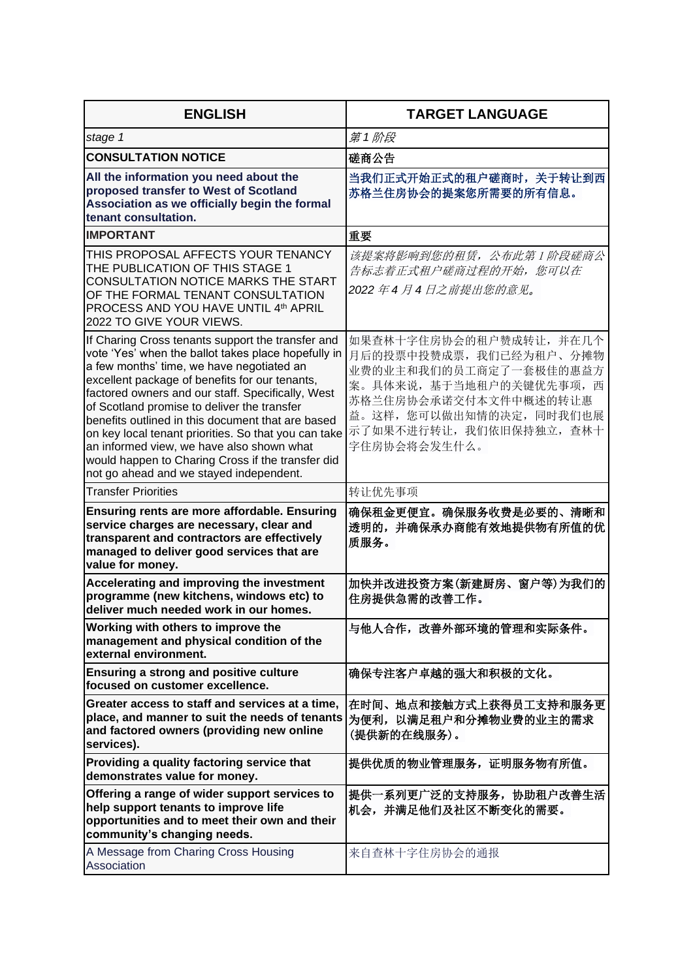| <b>ENGLISH</b>                                                                                                                                                                                                                                                                                                                                                                                                                                                                                                                                                        | <b>TARGET LANGUAGE</b>                                                                                                                                                                                 |
|-----------------------------------------------------------------------------------------------------------------------------------------------------------------------------------------------------------------------------------------------------------------------------------------------------------------------------------------------------------------------------------------------------------------------------------------------------------------------------------------------------------------------------------------------------------------------|--------------------------------------------------------------------------------------------------------------------------------------------------------------------------------------------------------|
| stage 1                                                                                                                                                                                                                                                                                                                                                                                                                                                                                                                                                               | 第1阶段                                                                                                                                                                                                   |
| <b>CONSULTATION NOTICE</b>                                                                                                                                                                                                                                                                                                                                                                                                                                                                                                                                            | 磋商公告                                                                                                                                                                                                   |
| All the information you need about the<br>proposed transfer to West of Scotland<br>Association as we officially begin the formal<br>tenant consultation.                                                                                                                                                                                                                                                                                                                                                                                                              | 当我们正式开始正式的租户磋商时,关于转让到西<br>苏格兰住房协会的提案您所需要的所有信息。                                                                                                                                                         |
| <b>IMPORTANT</b>                                                                                                                                                                                                                                                                                                                                                                                                                                                                                                                                                      | 重要                                                                                                                                                                                                     |
| THIS PROPOSAL AFFECTS YOUR TENANCY<br>THE PUBLICATION OF THIS STAGE 1<br>CONSULTATION NOTICE MARKS THE START<br>OF THE FORMAL TENANT CONSULTATION<br>PROCESS AND YOU HAVE UNTIL 4th APRIL<br>2022 TO GIVE YOUR VIEWS.                                                                                                                                                                                                                                                                                                                                                 | 该提案将影响到您的租赁, 公布此第1阶段磋商公<br>告标志着正式租户磋商过程的开始,您可以在<br>2022 年 4 月 4 日之前提出您的意见。                                                                                                                             |
| If Charing Cross tenants support the transfer and<br>vote 'Yes' when the ballot takes place hopefully in<br>a few months' time, we have negotiated an<br>excellent package of benefits for our tenants,<br>factored owners and our staff. Specifically, West<br>of Scotland promise to deliver the transfer<br>benefits outlined in this document that are based<br>on key local tenant priorities. So that you can take<br>an informed view, we have also shown what<br>would happen to Charing Cross if the transfer did<br>not go ahead and we stayed independent. | 如果查林十字住房协会的租户赞成转让,并在几个<br>月后的投票中投赞成票, 我们已经为租户、分摊物<br>业费的业主和我们的员工商定了一套极佳的惠益方<br>案。具体来说, 基于当地租户的关键优先事项, 西<br>苏格兰住房协会承诺交付本文件中概述的转让惠<br>益。这样, 您可以做出知情的决定, 同时我们也展<br>示了如果不进行转让,我们依旧保持独立,查林十<br>字住房协会将会发生什么。 |
| <b>Transfer Priorities</b>                                                                                                                                                                                                                                                                                                                                                                                                                                                                                                                                            | 转让优先事项                                                                                                                                                                                                 |
| Ensuring rents are more affordable. Ensuring<br>service charges are necessary, clear and<br>transparent and contractors are effectively<br>managed to deliver good services that are<br>value for money.                                                                                                                                                                                                                                                                                                                                                              | 确保租金更便宜。确保服务收费是必要的、清晰和<br>透明的,并确保承办商能有效地提供物有所值的优<br>质服务。                                                                                                                                               |
| Accelerating and improving the investment<br>programme (new kitchens, windows etc) to<br>deliver much needed work in our homes.                                                                                                                                                                                                                                                                                                                                                                                                                                       | 加快并改进投资方案(新建厨房、窗户等)为我们的<br>住房提供急需的改善工作。                                                                                                                                                                |
| Working with others to improve the<br>management and physical condition of the<br>external environment.                                                                                                                                                                                                                                                                                                                                                                                                                                                               | 与他人合作,改善外部环境的管理和实际条件。                                                                                                                                                                                  |
| <b>Ensuring a strong and positive culture</b><br>focused on customer excellence.                                                                                                                                                                                                                                                                                                                                                                                                                                                                                      | 确保专注客户卓越的强大和积极的文化。                                                                                                                                                                                     |
| Greater access to staff and services at a time,<br>place, and manner to suit the needs of tenants<br>and factored owners (providing new online<br>services).                                                                                                                                                                                                                                                                                                                                                                                                          | 在时间、地点和接触方式上获得员工支持和服务更<br>为便利,以满足租户和分摊物业费的业主的需求<br>(提供新的在线服务)。                                                                                                                                         |
| Providing a quality factoring service that<br>demonstrates value for money.                                                                                                                                                                                                                                                                                                                                                                                                                                                                                           | 提供优质的物业管理服务, 证明服务物有所值。                                                                                                                                                                                 |
| Offering a range of wider support services to<br>help support tenants to improve life<br>opportunities and to meet their own and their<br>community's changing needs.                                                                                                                                                                                                                                                                                                                                                                                                 | 提供一系列更广泛的支持服务,协助租户改善生活<br>机会,并满足他们及社区不断变化的需要。                                                                                                                                                          |
| A Message from Charing Cross Housing<br>Association                                                                                                                                                                                                                                                                                                                                                                                                                                                                                                                   | 来自查林十字住房协会的通报                                                                                                                                                                                          |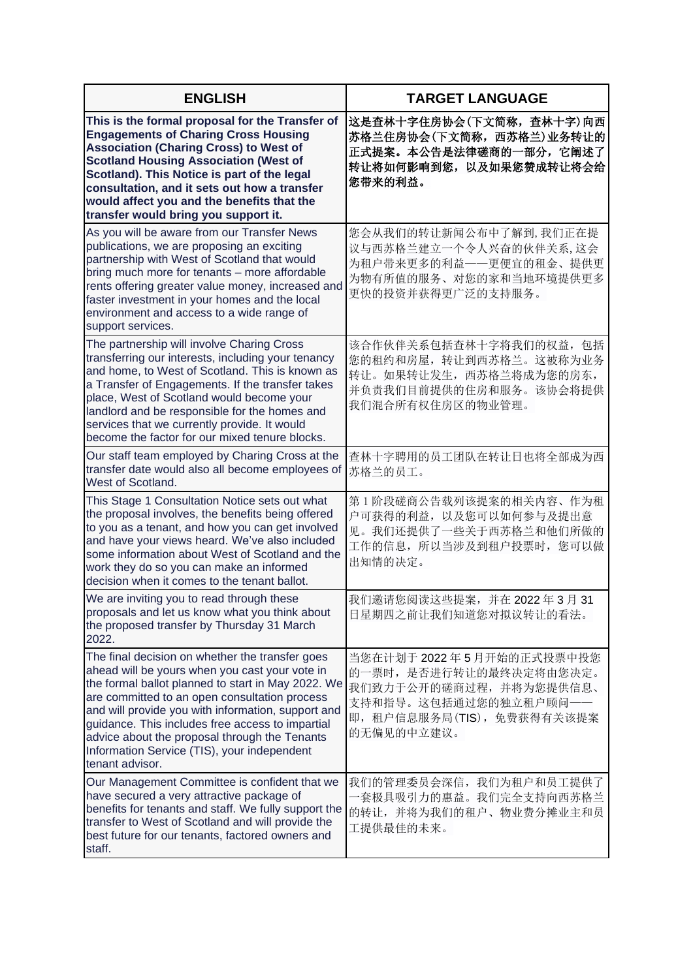| <b>ENGLISH</b>                                                                                                                                                                                                                                                                                                                                                                                                                        | <b>TARGET LANGUAGE</b>                                                                                                                            |
|---------------------------------------------------------------------------------------------------------------------------------------------------------------------------------------------------------------------------------------------------------------------------------------------------------------------------------------------------------------------------------------------------------------------------------------|---------------------------------------------------------------------------------------------------------------------------------------------------|
| This is the formal proposal for the Transfer of<br><b>Engagements of Charing Cross Housing</b><br><b>Association (Charing Cross) to West of</b><br><b>Scotland Housing Association (West of</b><br>Scotland). This Notice is part of the legal<br>consultation, and it sets out how a transfer<br>would affect you and the benefits that the<br>transfer would bring you support it.                                                  | 这是查林十字住房协会(下文简称, 查林十字)向西<br>苏格兰住房协会(下文简称, 西苏格兰)业务转让的<br>正式提案。本公告是法律磋商的一部分,它阐述了<br>转让将如何影响到您,以及如果您赞成转让将会给<br>您带来的利益。                               |
| As you will be aware from our Transfer News<br>publications, we are proposing an exciting<br>partnership with West of Scotland that would<br>bring much more for tenants - more affordable<br>rents offering greater value money, increased and<br>faster investment in your homes and the local<br>environment and access to a wide range of<br>support services.                                                                    | 您会从我们的转让新闻公布中了解到,我们正在提<br>议与西苏格兰建立一个令人兴奋的伙伴关系,这会<br>为租户带来更多的利益--更便宜的租金、提供更<br>为物有所值的服务、对您的家和当地环境提供更多<br>更快的投资并获得更广泛的支持服务。                         |
| The partnership will involve Charing Cross<br>transferring our interests, including your tenancy<br>and home, to West of Scotland. This is known as<br>a Transfer of Engagements. If the transfer takes<br>place, West of Scotland would become your<br>landlord and be responsible for the homes and<br>services that we currently provide. It would<br>become the factor for our mixed tenure blocks.                               | 该合作伙伴关系包括查林十字将我们的权益, 包括<br>您的租约和房屋,转让到西苏格兰。这被称为业务<br>转让。如果转让发生, 西苏格兰将成为您的房东,<br>并负责我们目前提供的住房和服务。该协会将提供<br>我们混合所有权住房区的物业管理。                        |
| Our staff team employed by Charing Cross at the<br>transfer date would also all become employees of<br>West of Scotland.                                                                                                                                                                                                                                                                                                              | 查林十字聘用的员工团队在转让日也将全部成为西<br>苏格兰的员工。                                                                                                                 |
| This Stage 1 Consultation Notice sets out what<br>the proposal involves, the benefits being offered<br>to you as a tenant, and how you can get involved<br>and have your views heard. We've also included<br>some information about West of Scotland and the<br>work they do so you can make an informed<br>decision when it comes to the tenant ballot.                                                                              | 第1阶段磋商公告载列该提案的相关内容、作为租<br>户可获得的利益, 以及您可以如何参与及提出意<br>见。我们还提供了一些关于西苏格兰和他们所做的<br>工作的信息, 所以当涉及到租户投票时, 您可以做<br>出知情的决定。                                 |
| We are inviting you to read through these<br>proposals and let us know what you think about<br>the proposed transfer by Thursday 31 March<br>2022.                                                                                                                                                                                                                                                                                    | 我们邀请您阅读这些提案, 并在 2022年3月31<br>日星期四之前让我们知道您对拟议转让的看法。                                                                                                |
| The final decision on whether the transfer goes<br>ahead will be yours when you cast your vote in<br>the formal ballot planned to start in May 2022. We<br>are committed to an open consultation process<br>and will provide you with information, support and<br>guidance. This includes free access to impartial<br>advice about the proposal through the Tenants<br>Information Service (TIS), your independent<br>tenant advisor. | 当您在计划于2022年5月开始的正式投票中投您<br>的一票时, 是否进行转让的最终决定将由您决定。<br>我们致力于公开的磋商过程,并将为您提供信息、<br>支持和指导。这包括通过您的独立租户顾问一一<br>即, 租户信息服务局(TIS), 免费获得有关该提案<br>的无偏见的中立建议。 |
| Our Management Committee is confident that we<br>have secured a very attractive package of<br>benefits for tenants and staff. We fully support the<br>transfer to West of Scotland and will provide the<br>best future for our tenants, factored owners and<br>staff.                                                                                                                                                                 | 我们的管理委员会深信, 我们为租户和员工提供了<br>一套极具吸引力的惠益。我们完全支持向西苏格兰<br>的转让,并将为我们的租户、物业费分摊业主和员<br>工提供最佳的未来。                                                          |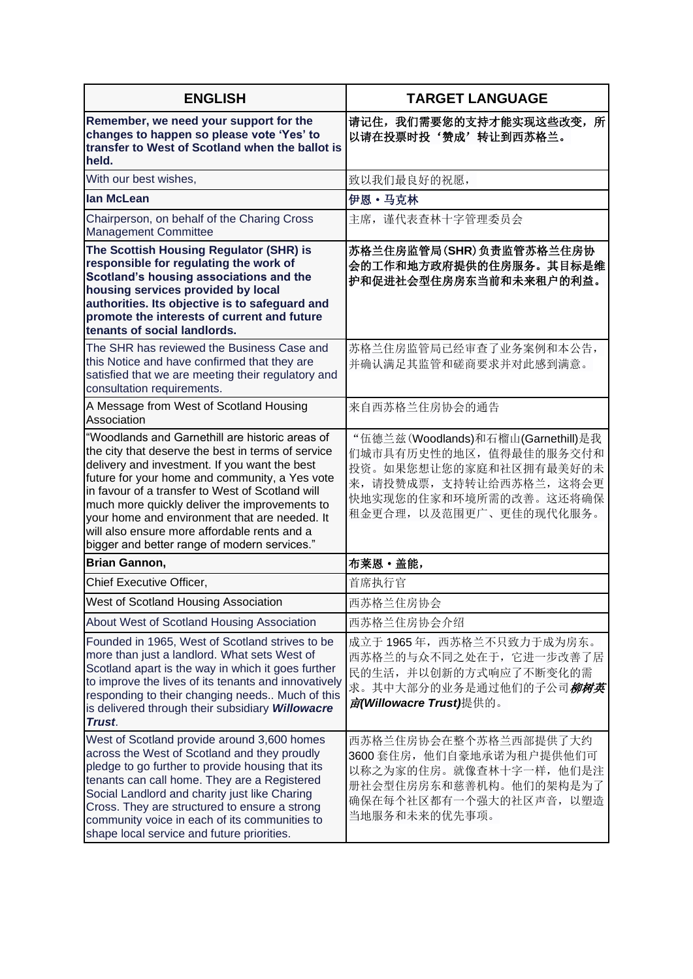| <b>ENGLISH</b>                                                                                                                                                                                                                                                                                                                                                                                                                                                 | <b>TARGET LANGUAGE</b>                                                                                                                                                    |
|----------------------------------------------------------------------------------------------------------------------------------------------------------------------------------------------------------------------------------------------------------------------------------------------------------------------------------------------------------------------------------------------------------------------------------------------------------------|---------------------------------------------------------------------------------------------------------------------------------------------------------------------------|
| Remember, we need your support for the<br>changes to happen so please vote 'Yes' to<br>transfer to West of Scotland when the ballot is<br>held.                                                                                                                                                                                                                                                                                                                | 请记住,我们需要您的支持才能实现这些改变,所<br>以请在投票时投'赞成'转让到西苏格兰。                                                                                                                             |
| With our best wishes,                                                                                                                                                                                                                                                                                                                                                                                                                                          | 致以我们最良好的祝愿,                                                                                                                                                               |
| <b>lan McLean</b>                                                                                                                                                                                                                                                                                                                                                                                                                                              | 伊恩 · 马克林                                                                                                                                                                  |
| Chairperson, on behalf of the Charing Cross<br><b>Management Committee</b>                                                                                                                                                                                                                                                                                                                                                                                     | 主席, 谨代表查林十字管理委员会                                                                                                                                                          |
| The Scottish Housing Regulator (SHR) is<br>responsible for regulating the work of<br>Scotland's housing associations and the<br>housing services provided by local<br>authorities. Its objective is to safeguard and<br>promote the interests of current and future<br>tenants of social landlords.                                                                                                                                                            | 苏格兰住房监管局(SHR)负责监管苏格兰住房协<br>会的工作和地方政府提供的住房服务。其目标是维<br>护和促进社会型住房房东当前和未来租户的利益。                                                                                               |
| The SHR has reviewed the Business Case and<br>this Notice and have confirmed that they are<br>satisfied that we are meeting their regulatory and<br>consultation requirements.                                                                                                                                                                                                                                                                                 | 苏格兰住房监管局已经审查了业务案例和本公告,<br>并确认满足其监管和磋商要求并对此感到满意。                                                                                                                           |
| A Message from West of Scotland Housing<br>Association                                                                                                                                                                                                                                                                                                                                                                                                         | 来自西苏格兰住房协会的通告                                                                                                                                                             |
| "Woodlands and Garnethill are historic areas of<br>the city that deserve the best in terms of service<br>delivery and investment. If you want the best<br>future for your home and community, a Yes vote<br>in favour of a transfer to West of Scotland will<br>much more quickly deliver the improvements to<br>your home and environment that are needed. It<br>will also ensure more affordable rents and a<br>bigger and better range of modern services." | "伍德兰兹(Woodlands)和石榴山(Garnethill)是我<br>们城市具有历史性的地区, 值得最佳的服务交付和<br>投资。如果您想让您的家庭和社区拥有最美好的未<br>来, 请投赞成票, 支持转让给西苏格兰, 这将会更<br>快地实现您的住家和环境所需的改善。这还将确保<br>租金更合理, 以及范围更广、更佳的现代化服务。 |
| Brian Gannon,                                                                                                                                                                                                                                                                                                                                                                                                                                                  | 布莱恩 · 盖能,                                                                                                                                                                 |
| Chief Executive Officer,                                                                                                                                                                                                                                                                                                                                                                                                                                       | 首席执行官                                                                                                                                                                     |
| West of Scotland Housing Association                                                                                                                                                                                                                                                                                                                                                                                                                           | 西苏格兰住房协会                                                                                                                                                                  |
| About West of Scotland Housing Association                                                                                                                                                                                                                                                                                                                                                                                                                     | 西苏格兰住房协会介绍                                                                                                                                                                |
| Founded in 1965, West of Scotland strives to be<br>more than just a landlord. What sets West of<br>Scotland apart is the way in which it goes further<br>to improve the lives of its tenants and innovatively<br>responding to their changing needs Much of this<br>is delivered through their subsidiary Willowacre<br>Trust.                                                                                                                                 | 成立于 1965年, 西苏格兰不只致力于成为房东。<br>西苏格兰的与众不同之处在于, 它进一步改善了居<br>民的生活,并以创新的方式响应了不断变化的需<br>求。其中大部分的业务是通过他们的子公司 <i>柳树英</i><br>亩(Willowacre Trust)提供的。                                |
| West of Scotland provide around 3,600 homes<br>across the West of Scotland and they proudly<br>pledge to go further to provide housing that its<br>tenants can call home. They are a Registered<br>Social Landlord and charity just like Charing<br>Cross. They are structured to ensure a strong<br>community voice in each of its communities to<br>shape local service and future priorities.                                                               | 西苏格兰住房协会在整个苏格兰西部提供了大约<br>3600 套住房, 他们自豪地承诺为租户提供他们可<br>以称之为家的住房。就像查林十字一样, 他们是注<br>册社会型住房房东和慈善机构。他们的架构是为了<br>确保在每个社区都有一个强大的社区声音, 以塑造<br>当地服务和未来的优先事项。                       |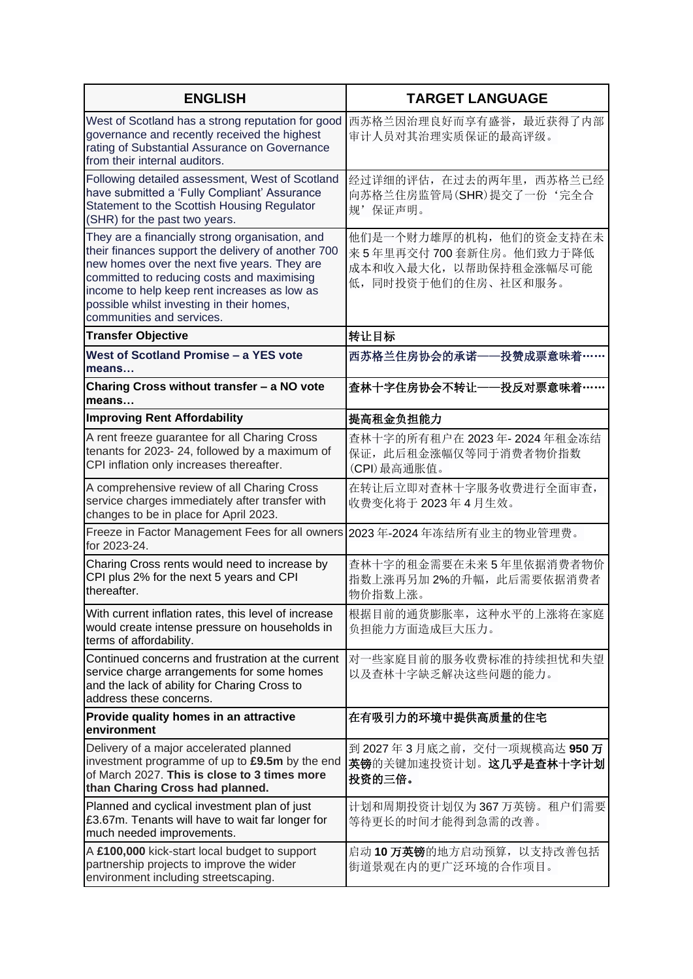| <b>ENGLISH</b>                                                                                                                                                                                                                                                                                                                | <b>TARGET LANGUAGE</b>                                                                             |
|-------------------------------------------------------------------------------------------------------------------------------------------------------------------------------------------------------------------------------------------------------------------------------------------------------------------------------|----------------------------------------------------------------------------------------------------|
| West of Scotland has a strong reputation for good<br>governance and recently received the highest<br>rating of Substantial Assurance on Governance<br>from their internal auditors.                                                                                                                                           | 西苏格兰因治理良好而享有盛誉, 最近获得了内部<br>审计人员对其治理实质保证的最高评级。                                                      |
| Following detailed assessment, West of Scotland<br>have submitted a 'Fully Compliant' Assurance<br>Statement to the Scottish Housing Regulator<br>(SHR) for the past two years.                                                                                                                                               | 经过详细的评估, 在过去的两年里, 西苏格兰已经<br>向苏格兰住房监管局(SHR)提交了一份'完全合<br>规'保证声明。                                     |
| They are a financially strong organisation, and<br>their finances support the delivery of another 700<br>new homes over the next five years. They are<br>committed to reducing costs and maximising<br>income to help keep rent increases as low as<br>possible whilst investing in their homes,<br>communities and services. | 他们是一个财力雄厚的机构, 他们的资金支持在未<br>来5年里再交付700套新住房。他们致力于降低<br>成本和收入最大化, 以帮助保持租金涨幅尽可能<br>低,同时投资于他们的住房、社区和服务。 |
| <b>Transfer Objective</b>                                                                                                                                                                                                                                                                                                     | 转让目标                                                                                               |
| West of Scotland Promise - a YES vote<br>means                                                                                                                                                                                                                                                                                | 西苏格兰住房协会的承诺-<br>投赞成票意味着·                                                                           |
| Charing Cross without transfer - a NO vote<br>means                                                                                                                                                                                                                                                                           | ·投反对票意味着·<br>查林十字住房协会不转让一                                                                          |
| <b>Improving Rent Affordability</b>                                                                                                                                                                                                                                                                                           | 提高租金负担能力                                                                                           |
| A rent freeze guarantee for all Charing Cross<br>tenants for 2023-24, followed by a maximum of<br>CPI inflation only increases thereafter.                                                                                                                                                                                    | 查林十字的所有租户在 2023年-2024年租金冻结<br>保证, 此后租金涨幅仅等同于消费者物价指数<br>(CPI)最高通胀值。                                 |
| A comprehensive review of all Charing Cross<br>service charges immediately after transfer with<br>changes to be in place for April 2023.                                                                                                                                                                                      | 在转让后立即对查林十字服务收费进行全面审查,<br>收费变化将于 2023年4月生效。                                                        |
| Freeze in Factor Management Fees for all owners 2023年-2024年冻结所有业主的物业管理费。<br>for 2023-24.                                                                                                                                                                                                                                      |                                                                                                    |
| Charing Cross rents would need to increase by<br>CPI plus 2% for the next 5 years and CPI<br>thereafter.                                                                                                                                                                                                                      | 查林十字的租金需要在未来5年里依据消费者物价<br>指数上涨再另加2%的升幅, 此后需要依据消费者<br>物价指数上涨。                                       |
| With current inflation rates, this level of increase<br>would create intense pressure on households in<br>terms of affordability.                                                                                                                                                                                             | 根据目前的通货膨胀率, 这种水平的上涨将在家庭<br>负担能力方面造成巨大压力。                                                           |
| Continued concerns and frustration at the current<br>service charge arrangements for some homes<br>and the lack of ability for Charing Cross to<br>address these concerns.                                                                                                                                                    | 对一些家庭目前的服务收费标准的持续担忧和失望<br>以及查林十字缺乏解决这些问题的能力。                                                       |
| Provide quality homes in an attractive<br>environment                                                                                                                                                                                                                                                                         | 在有吸引力的环境中提供高质量的住宅                                                                                  |
| Delivery of a major accelerated planned<br>investment programme of up to £9.5m by the end<br>of March 2027. This is close to 3 times more<br>than Charing Cross had planned.                                                                                                                                                  | 到 2027年3月底之前, 交付一项规模高达 950万<br>英镑的关键加速投资计划。这几乎是查林十字计划<br>投资的三倍。                                    |
| Planned and cyclical investment plan of just<br>£3.67m. Tenants will have to wait far longer for<br>much needed improvements.                                                                                                                                                                                                 | 计划和周期投资计划仅为367 万英镑。租户们需要<br>等待更长的时间才能得到急需的改善。                                                      |
| A £100,000 kick-start local budget to support<br>partnership projects to improve the wider<br>environment including streetscaping.                                                                                                                                                                                            | 启动10万英镑的地方启动预算, 以支持改善包括<br>街道景观在内的更广泛环境的合作项目。                                                      |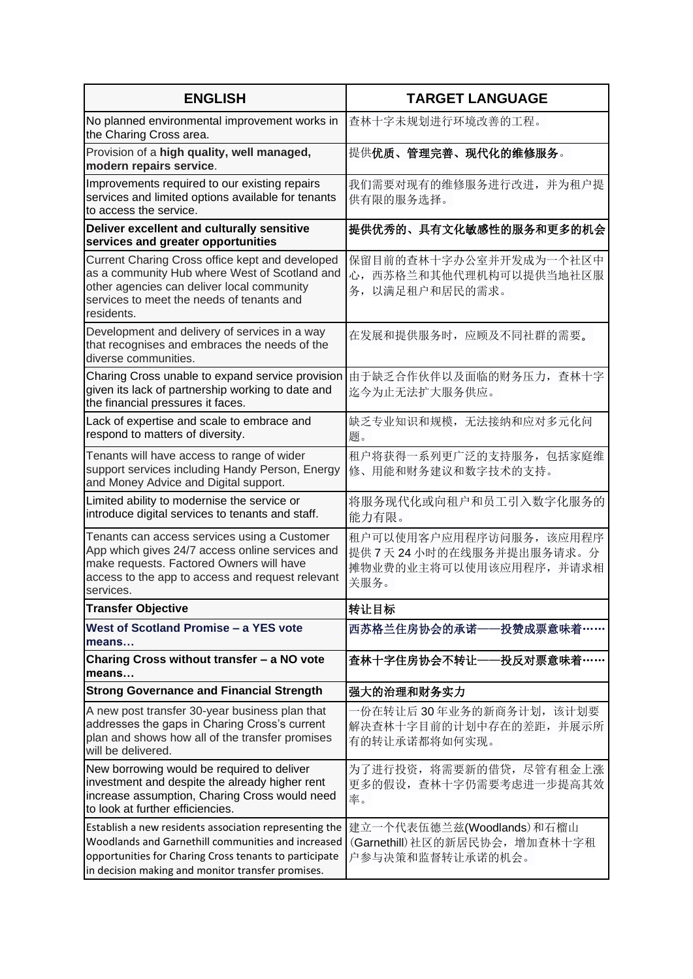| <b>ENGLISH</b>                                                                                                                                                                                                              | <b>TARGET LANGUAGE</b>                                                               |
|-----------------------------------------------------------------------------------------------------------------------------------------------------------------------------------------------------------------------------|--------------------------------------------------------------------------------------|
| No planned environmental improvement works in<br>the Charing Cross area.                                                                                                                                                    | 查林十字未规划进行环境改善的工程。                                                                    |
| Provision of a high quality, well managed,<br>modern repairs service.                                                                                                                                                       | 提供优质、管理完善、现代化的维修服务。                                                                  |
| Improvements required to our existing repairs<br>services and limited options available for tenants<br>to access the service.                                                                                               | 我们需要对现有的维修服务进行改进,<br>并为租户提<br>供有限的服务选择。                                              |
| Deliver excellent and culturally sensitive<br>services and greater opportunities                                                                                                                                            | 提供优秀的、具有文化敏感性的服务和更多的机会                                                               |
| Current Charing Cross office kept and developed<br>as a community Hub where West of Scotland and<br>other agencies can deliver local community<br>services to meet the needs of tenants and<br>residents.                   | 保留目前的查林十字办公室并开发成为一个社区中<br>心, 西苏格兰和其他代理机构可以提供当地社区服<br>务,以满足租户和居民的需求。                  |
| Development and delivery of services in a way<br>that recognises and embraces the needs of the<br>diverse communities.                                                                                                      | 在发展和提供服务时,应顾及不同社群的需要。                                                                |
| Charing Cross unable to expand service provision<br>given its lack of partnership working to date and<br>the financial pressures it faces.                                                                                  | 由于缺乏合作伙伴以及面临的财务压力, 查林十字<br>迄今为止无法扩大服务供应。                                             |
| Lack of expertise and scale to embrace and<br>respond to matters of diversity.                                                                                                                                              | 缺乏专业知识和规模, 无法接纳和应对多元化问<br>题。                                                         |
| Tenants will have access to range of wider<br>support services including Handy Person, Energy<br>and Money Advice and Digital support.                                                                                      | 租户将获得一系列更广泛的支持服务,包括家庭维<br>修、用能和财务建议和数字技术的支持。                                         |
| Limited ability to modernise the service or<br>introduce digital services to tenants and staff.                                                                                                                             | 将服务现代化或向租户和员工引入数字化服务的<br>能力有限。                                                       |
| Tenants can access services using a Customer<br>App which gives 24/7 access online services and<br>make requests. Factored Owners will have<br>access to the app to access and request relevant<br>services.                | 租户可以使用客户应用程序访问服务, 该应用程序<br>提供7天24小时的在线服务并提出服务请求。分<br>摊物业费的业主将可以使用该应用程序, 并请求相<br>关服务。 |
| Transfer Objective                                                                                                                                                                                                          | 转让目标                                                                                 |
| West of Scotland Promise - a YES vote<br>means                                                                                                                                                                              | 西苏格兰住房协会的承诺-<br>·投赞成票意味着・                                                            |
| Charing Cross without transfer - a NO vote<br>means                                                                                                                                                                         | 查林十字住房协会不转让——投反对票意味着…                                                                |
| <b>Strong Governance and Financial Strength</b>                                                                                                                                                                             | 强大的治理和财务实力                                                                           |
| A new post transfer 30-year business plan that<br>addresses the gaps in Charing Cross's current<br>plan and shows how all of the transfer promises<br>will be delivered.                                                    | 份在转让后30年业务的新商务计划,该计划要<br>解决查林十字目前的计划中存在的差距, 并展示所<br>有的转让承诺都将如何实现。                    |
| New borrowing would be required to deliver<br>investment and despite the already higher rent<br>increase assumption, Charing Cross would need<br>to look at further efficiencies.                                           | 为了进行投资, 将需要新的借贷, 尽管有租金上涨<br>更多的假设, 查林十字仍需要考虑进一步提高其效<br>率。                            |
| Establish a new residents association representing the<br>Woodlands and Garnethill communities and increased<br>opportunities for Charing Cross tenants to participate<br>in decision making and monitor transfer promises. | 建立一个代表伍德兰兹(Woodlands)和石榴山<br>(Garnethill) 社区的新居民协会, 增加查林十字租<br>户参与决策和监督转让承诺的机会。      |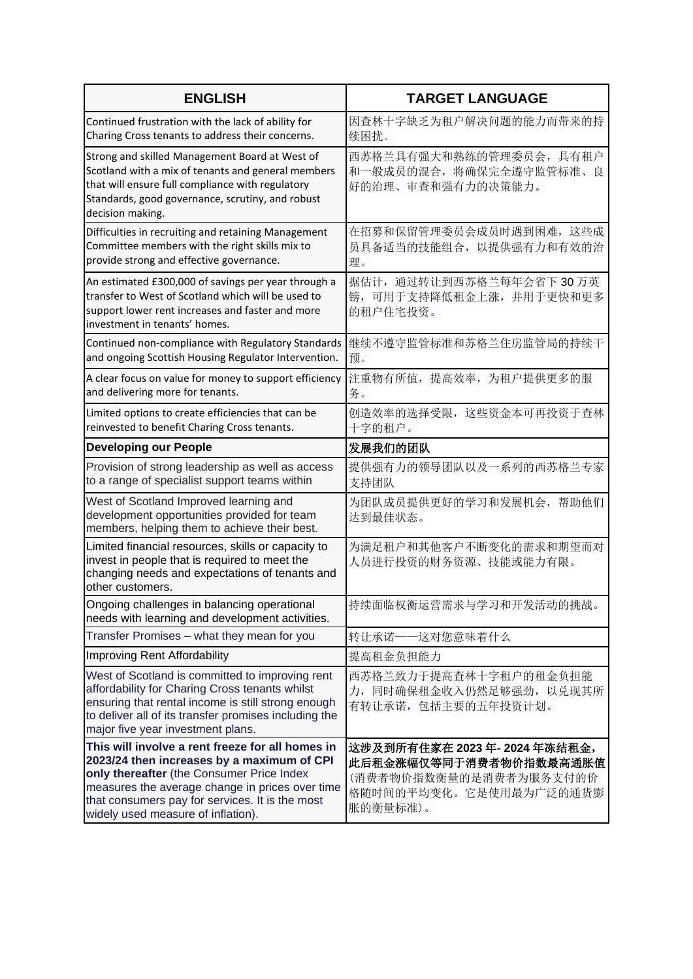| <b>ENGLISH</b>                                                                                                                                                                                                                                                                          | <b>TARGET LANGUAGE</b>                                                                                                  |
|-----------------------------------------------------------------------------------------------------------------------------------------------------------------------------------------------------------------------------------------------------------------------------------------|-------------------------------------------------------------------------------------------------------------------------|
| Continued frustration with the lack of ability for<br>Charing Cross tenants to address their concerns.                                                                                                                                                                                  | 因查林十字缺乏为租户解决问题的能力而带来的持<br>续困扰。                                                                                          |
| Strong and skilled Management Board at West of<br>Scotland with a mix of tenants and general members<br>that will ensure full compliance with regulatory<br>Standards, good governance, scrutiny, and robust<br>decision making.                                                        | 西苏格兰具有强大和熟练的管理委员会, 具有租户<br>和一般成员的混合, 将确保完全遵守监管标准、良<br>好的治理、审查和强有力的决策能力。                                                 |
| Difficulties in recruiting and retaining Management<br>Committee members with the right skills mix to<br>provide strong and effective governance.                                                                                                                                       | 在招募和保留管理委员会成员时遇到困难, 这些成<br>员具备适当的技能组合, 以提供强有力和有效的治<br>理。                                                                |
| An estimated £300,000 of savings per year through a<br>transfer to West of Scotland which will be used to<br>support lower rent increases and faster and more<br>investment in tenants' homes.                                                                                          | 据估计, 通过转让到西苏格兰每年会省下30万英<br>镑,可用于支持降低租金上涨,并用于更快和更多<br>的租户住宅投资。                                                           |
| Continued non-compliance with Regulatory Standards<br>and ongoing Scottish Housing Regulator Intervention.                                                                                                                                                                              | 继续不遵守监管标准和苏格兰住房监管局的持续干<br>预。                                                                                            |
| A clear focus on value for money to support efficiency<br>and delivering more for tenants.                                                                                                                                                                                              | 注重物有所值, 提高效率, 为租户提供更多的服<br>务。                                                                                           |
| Limited options to create efficiencies that can be<br>reinvested to benefit Charing Cross tenants.                                                                                                                                                                                      | 创造效率的选择受限, 这些资金本可再投资于查林<br>十字的租户。                                                                                       |
| <b>Developing our People</b>                                                                                                                                                                                                                                                            | 发展我们的团队                                                                                                                 |
| Provision of strong leadership as well as access<br>to a range of specialist support teams within                                                                                                                                                                                       | 提供强有力的领导团队以及一系列的西苏格兰专家<br>支持团队                                                                                          |
| West of Scotland Improved learning and<br>development opportunities provided for team<br>members, helping them to achieve their best.                                                                                                                                                   | 为团队成员提供更好的学习和发展机会,帮助他们<br>达到最佳状态。                                                                                       |
| Limited financial resources, skills or capacity to<br>invest in people that is required to meet the<br>changing needs and expectations of tenants and<br>other customers.                                                                                                               | 为满足租户和其他客户不断变化的需求和期望而对<br>人员进行投资的财务资源、技能或能力有限。                                                                          |
| Ongoing challenges in balancing operational<br>needs with learning and development activities.                                                                                                                                                                                          | 持续面临权衡运营需求与学习和开发活动的挑战。                                                                                                  |
| Transfer Promises - what they mean for you                                                                                                                                                                                                                                              | 转让承诺——这对您意味着什么                                                                                                          |
| Improving Rent Affordability                                                                                                                                                                                                                                                            | 提高租金负担能力                                                                                                                |
| West of Scotland is committed to improving rent<br>affordability for Charing Cross tenants whilst<br>ensuring that rental income is still strong enough<br>to deliver all of its transfer promises including the<br>major five year investment plans.                                   | 西苏格兰致力于提高查林十字租户的租金负担能<br>力, 同时确保租金收入仍然足够强劲, 以兑现其所<br>有转让承诺,包括主要的五年投资计划。                                                 |
| This will involve a rent freeze for all homes in<br>2023/24 then increases by a maximum of CPI<br>only thereafter (the Consumer Price Index<br>measures the average change in prices over time<br>that consumers pay for services. It is the most<br>widely used measure of inflation). | 这涉及到所有住家在 2023 年- 2024 年冻结租金,<br>此后租金涨幅仅等同于消费者物价指数最高通胀值<br>(消费者物价指数衡量的是消费者为服务支付的价<br>格随时间的平均变化。它是使用最为广泛的通货膨<br>胀的衡量标准)。 |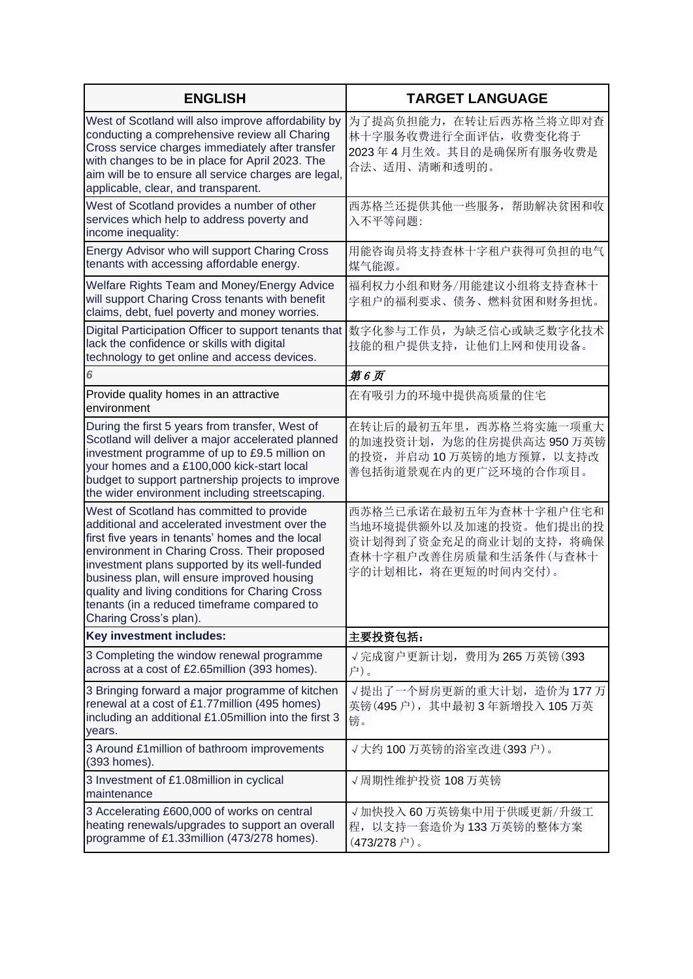| <b>ENGLISH</b>                                                                                                                                                                                                                                                                                                                                                                                                              | <b>TARGET LANGUAGE</b>                                                                                                        |
|-----------------------------------------------------------------------------------------------------------------------------------------------------------------------------------------------------------------------------------------------------------------------------------------------------------------------------------------------------------------------------------------------------------------------------|-------------------------------------------------------------------------------------------------------------------------------|
| West of Scotland will also improve affordability by<br>conducting a comprehensive review all Charing<br>Cross service charges immediately after transfer<br>with changes to be in place for April 2023. The<br>aim will be to ensure all service charges are legal,<br>applicable, clear, and transparent.                                                                                                                  | 为了提高负担能力, 在转让后西苏格兰将立即对查<br>林十字服务收费进行全面评估, 收费变化将于<br>2023年4月生效。其目的是确保所有服务收费是<br>合法、适用、清晰和透明的。                                  |
| West of Scotland provides a number of other<br>services which help to address poverty and<br>income inequality:                                                                                                                                                                                                                                                                                                             | 西苏格兰还提供其他一些服务,帮助解决贫困和收<br>入不平等问题:                                                                                             |
| Energy Advisor who will support Charing Cross<br>tenants with accessing affordable energy.                                                                                                                                                                                                                                                                                                                                  | 用能咨询员将支持查林十字租户获得可负担的电气<br>煤气能源。                                                                                               |
| Welfare Rights Team and Money/Energy Advice<br>will support Charing Cross tenants with benefit<br>claims, debt, fuel poverty and money worries.                                                                                                                                                                                                                                                                             | 福利权力小组和财务/用能建议小组将支持查林十<br>字租户的福利要求、债务、燃料贫困和财务担忧。                                                                              |
| Digital Participation Officer to support tenants that<br>lack the confidence or skills with digital<br>technology to get online and access devices.                                                                                                                                                                                                                                                                         | 数字化参与工作员, 为缺乏信心或缺乏数字化技术<br>技能的租户提供支持, 让他们上网和使用设备。                                                                             |
| 6                                                                                                                                                                                                                                                                                                                                                                                                                           | 第6页                                                                                                                           |
| Provide quality homes in an attractive<br>environment                                                                                                                                                                                                                                                                                                                                                                       | 在有吸引力的环境中提供高质量的住宅                                                                                                             |
| During the first 5 years from transfer, West of<br>Scotland will deliver a major accelerated planned<br>investment programme of up to £9.5 million on<br>your homes and a £100,000 kick-start local<br>budget to support partnership projects to improve<br>the wider environment including streetscaping.                                                                                                                  | 在转让后的最初五年里, 西苏格兰将实施一项重大<br>的加速投资计划,为您的住房提供高达 950 万英镑<br>的投资,并启动10万英镑的地方预算,以支持改<br>善包括街道景观在内的更广泛环境的合作项目。                       |
| West of Scotland has committed to provide<br>additional and accelerated investment over the<br>first five years in tenants' homes and the local<br>environment in Charing Cross. Their proposed<br>investment plans supported by its well-funded<br>business plan, will ensure improved housing<br>quality and living conditions for Charing Cross<br>tenants (in a reduced timeframe compared to<br>Charing Cross's plan). | 西苏格兰已承诺在最初五年为查林十字租户住宅和<br>当地环境提供额外以及加速的投资。他们提出的投<br>资计划得到了资金充足的商业计划的支持, 将确保<br>查林十字租户改善住房质量和生活条件(与查林十<br>字的计划相比, 将在更短的时间内交付)。 |
| Key investment includes:                                                                                                                                                                                                                                                                                                                                                                                                    | 主要投资包括:                                                                                                                       |
| 3 Completing the window renewal programme<br>across at a cost of £2.65million (393 homes).                                                                                                                                                                                                                                                                                                                                  | √完成窗户更新计划, 费用为 265 万英镑(393<br>户)。                                                                                             |
| 3 Bringing forward a major programme of kitchen<br>renewal at a cost of £1.77million (495 homes)<br>including an additional £1.05million into the first 3<br>years.                                                                                                                                                                                                                                                         | √提出了一个厨房更新的重大计划,造价为177万<br>英镑(495户), 其中最初3年新增投入105万英<br>镑。                                                                    |
| 3 Around £1 million of bathroom improvements<br>(393 homes).                                                                                                                                                                                                                                                                                                                                                                | √大约 100 万英镑的浴室改进(393 户)。                                                                                                      |
| 3 Investment of £1.08million in cyclical<br>maintenance                                                                                                                                                                                                                                                                                                                                                                     | √周期性维护投资 108 万英镑                                                                                                              |
| 3 Accelerating £600,000 of works on central<br>heating renewals/upgrades to support an overall<br>programme of £1.33million (473/278 homes).                                                                                                                                                                                                                                                                                | √加快投入 60 万英镑集中用于供暖更新/升级工<br>程, 以支持一套造价为133万英镑的整体方案<br>$(473/278$ 户 )。                                                         |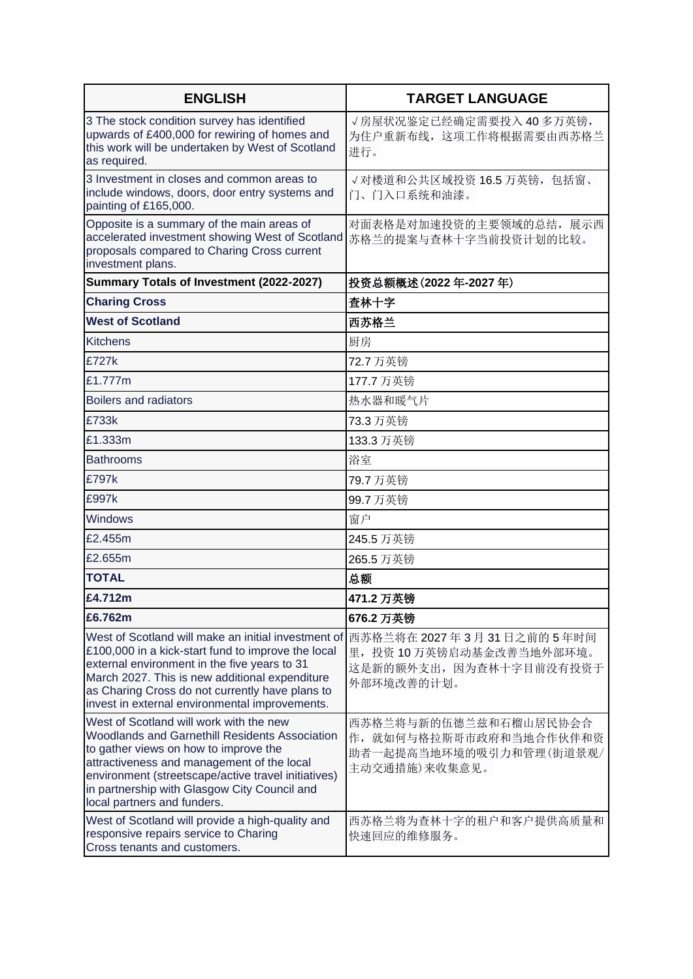| <b>ENGLISH</b>                                                                                                                                                                                                                                                                                                                                                                    | <b>TARGET LANGUAGE</b>                                                                                                 |
|-----------------------------------------------------------------------------------------------------------------------------------------------------------------------------------------------------------------------------------------------------------------------------------------------------------------------------------------------------------------------------------|------------------------------------------------------------------------------------------------------------------------|
| 3 The stock condition survey has identified<br>upwards of £400,000 for rewiring of homes and<br>this work will be undertaken by West of Scotland<br>as required.                                                                                                                                                                                                                  | √房屋状况鉴定已经确定需要投入40多万英镑,<br>为住户重新布线, 这项工作将根据需要由西苏格兰<br>讲行。                                                               |
| 3 Investment in closes and common areas to<br>include windows, doors, door entry systems and<br>painting of £165,000.                                                                                                                                                                                                                                                             | √对楼道和公共区域投资 16.5 万英镑, 包括窗、<br>门、门入口系统和油漆。                                                                              |
| Opposite is a summary of the main areas of<br>accelerated investment showing West of Scotland<br>proposals compared to Charing Cross current<br>investment plans.                                                                                                                                                                                                                 | 对面表格是对加速投资的主要领域的总结,展示西<br>苏格兰的提案与查林十字当前投资计划的比较。                                                                        |
| Summary Totals of Investment (2022-2027)                                                                                                                                                                                                                                                                                                                                          | 投资总额概述(2022年-2027年)                                                                                                    |
| <b>Charing Cross</b>                                                                                                                                                                                                                                                                                                                                                              | 査林十字                                                                                                                   |
| <b>West of Scotland</b>                                                                                                                                                                                                                                                                                                                                                           | 西苏格兰                                                                                                                   |
| <b>Kitchens</b>                                                                                                                                                                                                                                                                                                                                                                   | 厨房                                                                                                                     |
| £727k                                                                                                                                                                                                                                                                                                                                                                             | 72.7 万英镑                                                                                                               |
| £1,777m                                                                                                                                                                                                                                                                                                                                                                           | 177.7 万英镑                                                                                                              |
| <b>Boilers and radiators</b>                                                                                                                                                                                                                                                                                                                                                      | 热水器和暖气片                                                                                                                |
| £733k                                                                                                                                                                                                                                                                                                                                                                             | 73.3 万英镑                                                                                                               |
| £1.333m                                                                                                                                                                                                                                                                                                                                                                           | 133.3 万英镑                                                                                                              |
| <b>Bathrooms</b>                                                                                                                                                                                                                                                                                                                                                                  | 浴室                                                                                                                     |
| £797k                                                                                                                                                                                                                                                                                                                                                                             | 79.7 万英镑                                                                                                               |
| £997k                                                                                                                                                                                                                                                                                                                                                                             | 99.7 万英镑                                                                                                               |
| Windows                                                                                                                                                                                                                                                                                                                                                                           | 窗户                                                                                                                     |
| £2.455m                                                                                                                                                                                                                                                                                                                                                                           | 245.5 万英镑                                                                                                              |
| £2.655m                                                                                                                                                                                                                                                                                                                                                                           | 265.5 万英镑                                                                                                              |
| <b>TOTAL</b>                                                                                                                                                                                                                                                                                                                                                                      | 总额                                                                                                                     |
| £4.712m                                                                                                                                                                                                                                                                                                                                                                           | 471.2 万英镑                                                                                                              |
| £6.762m                                                                                                                                                                                                                                                                                                                                                                           | 676.2 万英镑                                                                                                              |
| West of Scotland will make an initial investment of<br>£100,000 in a kick-start fund to improve the local<br>external environment in the five years to 31<br>March 2027. This is new additional expenditure<br>as Charing Cross do not currently have plans to<br>invest in external environmental improvements.                                                                  | 西苏格兰将在 2027年3月31日之前的5年时间<br>里, 投资 10 万英镑启动基金改善当地外部环境。<br>这是新的额外支出, 因为查林十字目前没有投资于<br>外部环境改善的计划。                         |
| West of Scotland will work with the new<br><b>Woodlands and Garnethill Residents Association</b><br>to gather views on how to improve the<br>attractiveness and management of the local<br>environment (streetscape/active travel initiatives)<br>in partnership with Glasgow City Council and<br>local partners and funders.<br>West of Scotland will provide a high-quality and | 西苏格兰将与新的伍德兰兹和石榴山居民协会合<br>作, 就如何与格拉斯哥市政府和当地合作伙伴和资<br>助者一起提高当地环境的吸引力和管理(街道景观/<br>主动交通措施)来收集意见。<br>西苏格兰将为查林十字的租户和客户提供高质量和 |
| responsive repairs service to Charing<br>Cross tenants and customers.                                                                                                                                                                                                                                                                                                             | 快速回应的维修服务。                                                                                                             |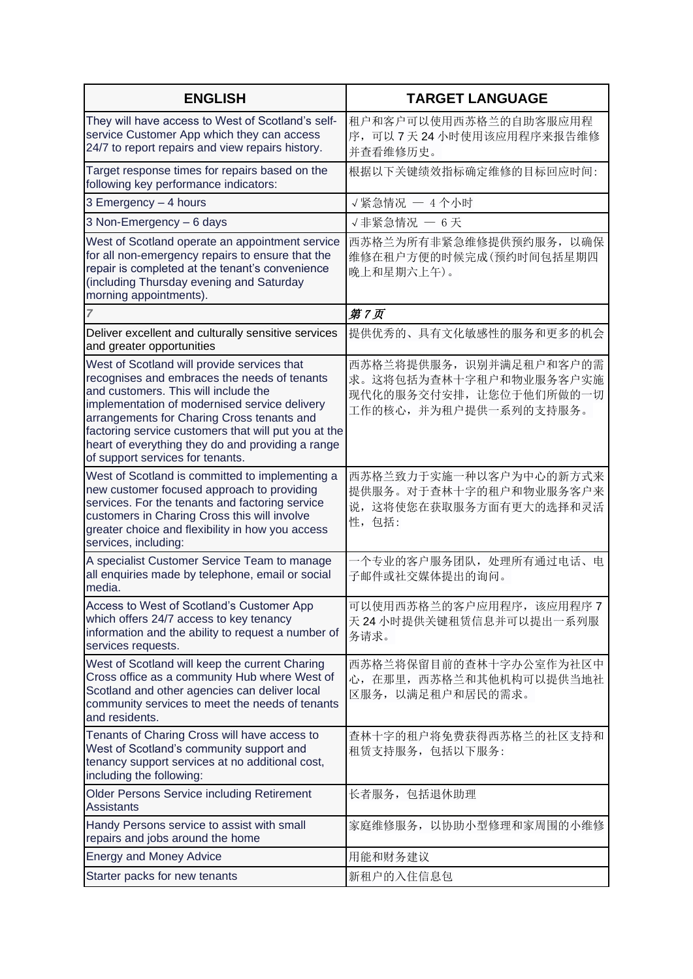| <b>ENGLISH</b>                                                                                                                                                                                                                                                                                                                                                                      | <b>TARGET LANGUAGE</b>                                                                                |
|-------------------------------------------------------------------------------------------------------------------------------------------------------------------------------------------------------------------------------------------------------------------------------------------------------------------------------------------------------------------------------------|-------------------------------------------------------------------------------------------------------|
| They will have access to West of Scotland's self-<br>service Customer App which they can access<br>24/7 to report repairs and view repairs history.                                                                                                                                                                                                                                 | 租户和客户可以使用西苏格兰的自助客服应用程<br>序,可以7天24小时使用该应用程序来报告维修<br>并查看维修历史。                                           |
| Target response times for repairs based on the<br>following key performance indicators:                                                                                                                                                                                                                                                                                             | 根据以下关键绩效指标确定维修的目标回应时间:                                                                                |
| 3 Emergency - 4 hours                                                                                                                                                                                                                                                                                                                                                               | √紧急情况 - 4个小时                                                                                          |
| 3 Non-Emergency - 6 days                                                                                                                                                                                                                                                                                                                                                            | √非紧急情况 - 6天                                                                                           |
| West of Scotland operate an appointment service<br>for all non-emergency repairs to ensure that the<br>repair is completed at the tenant's convenience<br>(including Thursday evening and Saturday<br>morning appointments).                                                                                                                                                        | 西苏格兰为所有非紧急维修提供预约服务, 以确保<br>维修在租户方便的时候完成(预约时间包括星期四<br>晚上和星期六上午)。                                       |
| 7                                                                                                                                                                                                                                                                                                                                                                                   | 第7页                                                                                                   |
| Deliver excellent and culturally sensitive services<br>and greater opportunities                                                                                                                                                                                                                                                                                                    | 提供优秀的、具有文化敏感性的服务和更多的机会                                                                                |
| West of Scotland will provide services that<br>recognises and embraces the needs of tenants<br>and customers. This will include the<br>implementation of modernised service delivery<br>arrangements for Charing Cross tenants and<br>factoring service customers that will put you at the<br>heart of everything they do and providing a range<br>of support services for tenants. | 西苏格兰将提供服务, 识别并满足租户和客户的需<br>求。这将包括为查林十字租户和物业服务客户实施<br>现代化的服务交付安排, 让您位于他们所做的一切<br>工作的核心,并为租户提供一系列的支持服务。 |
| West of Scotland is committed to implementing a<br>new customer focused approach to providing<br>services. For the tenants and factoring service<br>customers in Charing Cross this will involve<br>greater choice and flexibility in how you access<br>services, including:                                                                                                        | 西苏格兰致力于实施一种以客户为中心的新方式来<br>提供服务。对于查林十字的租户和物业服务客户来<br>说, 这将使您在获取服务方面有更大的选择和灵活<br>性,包括:                  |
| A specialist Customer Service Team to manage<br>all enquiries made by telephone, email or social<br>media.                                                                                                                                                                                                                                                                          | 一个专业的客户服务团队,处理所有通过电话、<br>电<br>子邮件或社交媒体提出的询问。                                                          |
| Access to West of Scotland's Customer App<br>which offers 24/7 access to key tenancy<br>information and the ability to request a number of<br>services requests.                                                                                                                                                                                                                    | 可以使用西苏格兰的客户应用程序,该应用程序7<br>天 24 小时提供关键租赁信息并可以提出一系列服<br>务请求。                                            |
| West of Scotland will keep the current Charing<br>Cross office as a community Hub where West of<br>Scotland and other agencies can deliver local<br>community services to meet the needs of tenants<br>and residents.                                                                                                                                                               | 西苏格兰将保留目前的查林十字办公室作为社区中<br>心, 在那里, 西苏格兰和其他机构可以提供当地社<br>区服务, 以满足租户和居民的需求。                               |
| Tenants of Charing Cross will have access to<br>West of Scotland's community support and<br>tenancy support services at no additional cost,<br>including the following:                                                                                                                                                                                                             | 查林十字的租户将免费获得西苏格兰的社区支持和<br>租赁支持服务,包括以下服务:                                                              |
| <b>Older Persons Service including Retirement</b><br><b>Assistants</b>                                                                                                                                                                                                                                                                                                              | 长者服务, 包括退休助理                                                                                          |
| Handy Persons service to assist with small<br>repairs and jobs around the home                                                                                                                                                                                                                                                                                                      | 家庭维修服务, 以协助小型修理和家周围的小维修                                                                               |
| <b>Energy and Money Advice</b>                                                                                                                                                                                                                                                                                                                                                      | 用能和财务建议                                                                                               |
| Starter packs for new tenants                                                                                                                                                                                                                                                                                                                                                       | 新租户的入住信息包                                                                                             |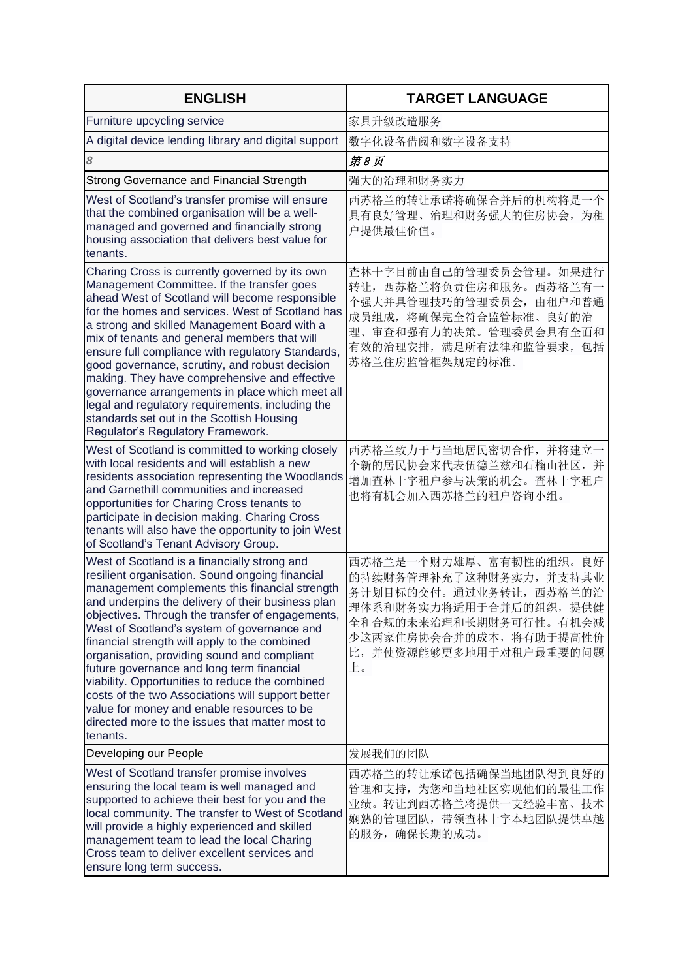| <b>ENGLISH</b>                                                                                                                                                                                                                                                                                                                                                                                                                                                                                                                                                                                                                                                              | <b>TARGET LANGUAGE</b>                                                                                                                                                                      |
|-----------------------------------------------------------------------------------------------------------------------------------------------------------------------------------------------------------------------------------------------------------------------------------------------------------------------------------------------------------------------------------------------------------------------------------------------------------------------------------------------------------------------------------------------------------------------------------------------------------------------------------------------------------------------------|---------------------------------------------------------------------------------------------------------------------------------------------------------------------------------------------|
| Furniture upcycling service                                                                                                                                                                                                                                                                                                                                                                                                                                                                                                                                                                                                                                                 | 家具升级改造服务                                                                                                                                                                                    |
| A digital device lending library and digital support                                                                                                                                                                                                                                                                                                                                                                                                                                                                                                                                                                                                                        | 数字化设备借阅和数字设备支持                                                                                                                                                                              |
| 8                                                                                                                                                                                                                                                                                                                                                                                                                                                                                                                                                                                                                                                                           | 第8页                                                                                                                                                                                         |
| Strong Governance and Financial Strength                                                                                                                                                                                                                                                                                                                                                                                                                                                                                                                                                                                                                                    | 强大的治理和财务实力                                                                                                                                                                                  |
| West of Scotland's transfer promise will ensure<br>that the combined organisation will be a well-<br>managed and governed and financially strong<br>housing association that delivers best value for<br>tenants.                                                                                                                                                                                                                                                                                                                                                                                                                                                            | 西苏格兰的转让承诺将确保合并后的机构将是一个<br>具有良好管理、治理和财务强大的住房协会, 为租<br>户提供最佳价值。                                                                                                                               |
| Charing Cross is currently governed by its own<br>Management Committee. If the transfer goes<br>ahead West of Scotland will become responsible<br>for the homes and services. West of Scotland has<br>a strong and skilled Management Board with a<br>mix of tenants and general members that will<br>ensure full compliance with regulatory Standards,<br>good governance, scrutiny, and robust decision<br>making. They have comprehensive and effective<br>governance arrangements in place which meet all<br>legal and regulatory requirements, including the<br>standards set out in the Scottish Housing<br>Regulator's Regulatory Framework.                         | 查林十字目前由自己的管理委员会管理。如果进行<br>转让, 西苏格兰将负责住房和服务。西苏格兰有一<br>个强大并具管理技巧的管理委员会, 由租户和普通<br>成员组成, 将确保完全符合监管标准、良好的治<br>理、审查和强有力的决策。管理委员会具有全面和<br>有效的治理安排,满足所有法律和监管要求,包括<br>苏格兰住房监管框架规定的标准。               |
| West of Scotland is committed to working closely<br>with local residents and will establish a new<br>residents association representing the Woodlands<br>and Garnethill communities and increased<br>opportunities for Charing Cross tenants to<br>participate in decision making. Charing Cross<br>tenants will also have the opportunity to join West<br>of Scotland's Tenant Advisory Group.                                                                                                                                                                                                                                                                             | 西苏格兰致力于与当地居民密切合作, 并将建立一<br>个新的居民协会来代表伍德兰兹和石榴山社区,并<br>增加查林十字租户参与决策的机会。查林十字租户<br>也将有机会加入西苏格兰的租户咨询小组。                                                                                          |
| West of Scotland is a financially strong and<br>resilient organisation. Sound ongoing financial<br>management complements this financial strength<br>and underpins the delivery of their business plan<br>objectives. Through the transfer of engagements,<br>West of Scotland's system of governance and<br>financial strength will apply to the combined<br>organisation, providing sound and compliant<br>future governance and long term financial<br>viability. Opportunities to reduce the combined<br>costs of the two Associations will support better<br>value for money and enable resources to be<br>directed more to the issues that matter most to<br>tenants. | 西苏格兰是一个财力雄厚、富有韧性的组织。良好<br>的持续财务管理补充了这种财务实力,并支持其业<br>务计划目标的交付。通过业务转让, 西苏格兰的治<br>理体系和财务实力将适用于合并后的组织, 提供健<br>全和合规的未来治理和长期财务可行性。有机会减<br>少这两家住房协会合并的成本, 将有助于提高性价<br>比,并使资源能够更多地用于对租户最重要的问题<br>上。 |
| Developing our People                                                                                                                                                                                                                                                                                                                                                                                                                                                                                                                                                                                                                                                       | 发展我们的团队                                                                                                                                                                                     |
| West of Scotland transfer promise involves<br>ensuring the local team is well managed and<br>supported to achieve their best for you and the<br>local community. The transfer to West of Scotland<br>will provide a highly experienced and skilled<br>management team to lead the local Charing<br>Cross team to deliver excellent services and<br>ensure long term success.                                                                                                                                                                                                                                                                                                | 西苏格兰的转让承诺包括确保当地团队得到良好的<br>管理和支持,为您和当地社区实现他们的最佳工作<br>业绩。转让到西苏格兰将提供一支经验丰富、技术<br>娴熟的管理团队, 带领查林十字本地团队提供卓越<br>的服务,确保长期的成功。                                                                       |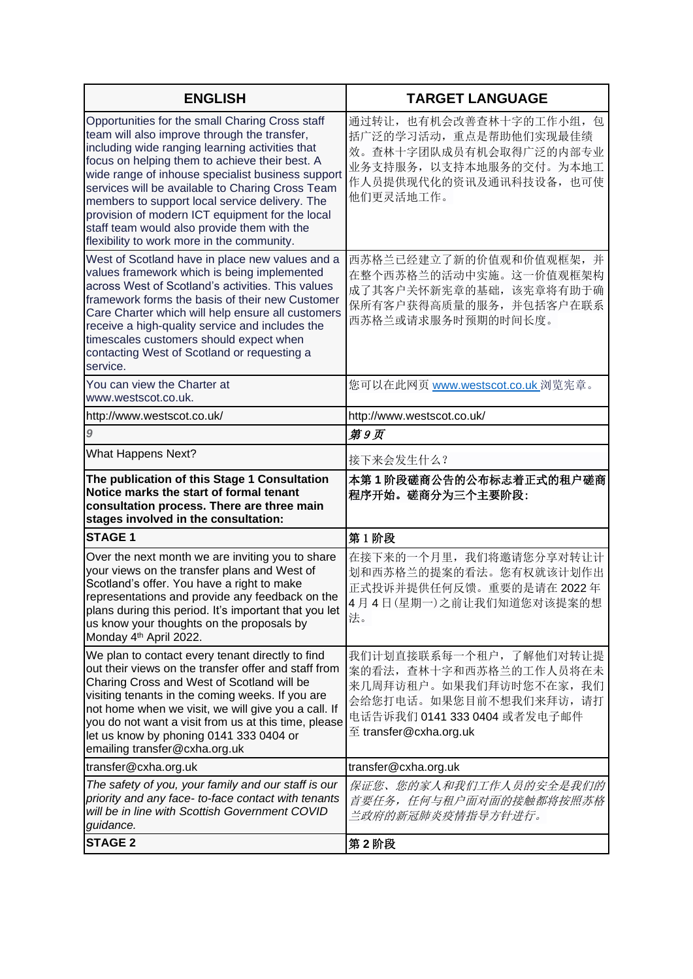| <b>ENGLISH</b>                                                                                                                                                                                                                                                                                                                                                                                                                                                                                                  | <b>TARGET LANGUAGE</b>                                                                                                                                                            |
|-----------------------------------------------------------------------------------------------------------------------------------------------------------------------------------------------------------------------------------------------------------------------------------------------------------------------------------------------------------------------------------------------------------------------------------------------------------------------------------------------------------------|-----------------------------------------------------------------------------------------------------------------------------------------------------------------------------------|
| Opportunities for the small Charing Cross staff<br>team will also improve through the transfer,<br>including wide ranging learning activities that<br>focus on helping them to achieve their best. A<br>wide range of inhouse specialist business support<br>services will be available to Charing Cross Team<br>members to support local service delivery. The<br>provision of modern ICT equipment for the local<br>staff team would also provide them with the<br>flexibility to work more in the community. | 通过转让, 也有机会改善查林十字的工作小组, 包<br>括广泛的学习活动, 重点是帮助他们实现最佳绩<br>效。查林十字团队成员有机会取得广泛的内部专业<br>业务支持服务, 以支持本地服务的交付。为本地工<br>作人员提供现代化的资讯及通讯科技设备, 也可使<br>他们更灵活地工作。                                   |
| West of Scotland have in place new values and a<br>values framework which is being implemented<br>across West of Scotland's activities. This values<br>framework forms the basis of their new Customer<br>Care Charter which will help ensure all customers<br>receive a high-quality service and includes the<br>timescales customers should expect when<br>contacting West of Scotland or requesting a<br>service.                                                                                            | 西苏格兰已经建立了新的价值观和价值观框架,并<br>在整个西苏格兰的活动中实施。这一价值观框架构<br>成了其客户关怀新宪章的基础, 该宪章将有助于确<br>保所有客户获得高质量的服务, 并包括客户在联系<br>西苏格兰或请求服务时预期的时间长度。                                                      |
| You can view the Charter at<br>www.westscot.co.uk.                                                                                                                                                                                                                                                                                                                                                                                                                                                              | 您可以在此网页 www.westscot.co.uk 浏览宪章。                                                                                                                                                  |
| http://www.westscot.co.uk/                                                                                                                                                                                                                                                                                                                                                                                                                                                                                      | http://www.westscot.co.uk/                                                                                                                                                        |
| $\boldsymbol{9}$                                                                                                                                                                                                                                                                                                                                                                                                                                                                                                | 第9页                                                                                                                                                                               |
| <b>What Happens Next?</b>                                                                                                                                                                                                                                                                                                                                                                                                                                                                                       | 接下来会发生什么?                                                                                                                                                                         |
| The publication of this Stage 1 Consultation<br>Notice marks the start of formal tenant<br>consultation process. There are three main<br>stages involved in the consultation:                                                                                                                                                                                                                                                                                                                                   | 本第1阶段磋商公告的公布标志着正式的租户磋商<br>程序开始。磋商分为三个主要阶段:                                                                                                                                        |
| <b>STAGE 1</b>                                                                                                                                                                                                                                                                                                                                                                                                                                                                                                  | 第1阶段                                                                                                                                                                              |
| Over the next month we are inviting you to share<br>your views on the transfer plans and West of<br>Scotland's offer. You have a right to make<br>representations and provide any feedback on the<br>plans during this period. It's important that you let<br>us know your thoughts on the proposals by<br>Monday 4 <sup>th</sup> April 2022.                                                                                                                                                                   | 在接下来的一个月里, 我们将邀请您分享对转让计<br>划和西苏格兰的提案的看法。您有权就该计划作出<br>正式投诉并提供任何反馈。重要的是请在2022年<br>4月4日(星期一)之前让我们知道您对该提案的想<br>法。                                                                     |
| We plan to contact every tenant directly to find<br>out their views on the transfer offer and staff from<br>Charing Cross and West of Scotland will be<br>visiting tenants in the coming weeks. If you are<br>not home when we visit, we will give you a call. If<br>you do not want a visit from us at this time, please<br>let us know by phoning 0141 333 0404 or<br>emailing transfer@cxha.org.uk                                                                                                           | 我们计划直接联系每一个租户, 了解他们对转让提<br>案的看法, 查林十字和西苏格兰的工作人员将在未<br>来几周拜访租户。如果我们拜访时您不在家, 我们<br>会给您打电话。如果您目前不想我们来拜访, 请打<br>电话告诉我们 0141 333 0404 或者发电子邮件<br>$\mathfrak{\Xi}$ transfer@cxha.org.uk |
| transfer@cxha.org.uk                                                                                                                                                                                                                                                                                                                                                                                                                                                                                            | transfer@cxha.org.uk                                                                                                                                                              |
| The safety of you, your family and our staff is our<br>priority and any face- to-face contact with tenants<br>will be in line with Scottish Government COVID<br>guidance.                                                                                                                                                                                                                                                                                                                                       | 保证您、您的家人和我们工作人员的安全是我们的<br>首要任务, 任何与租户面对面的接触都将按照苏格<br>兰政府的新冠肺炎疫情指导方针进行。                                                                                                            |
| <b>STAGE 2</b>                                                                                                                                                                                                                                                                                                                                                                                                                                                                                                  | 第2阶段                                                                                                                                                                              |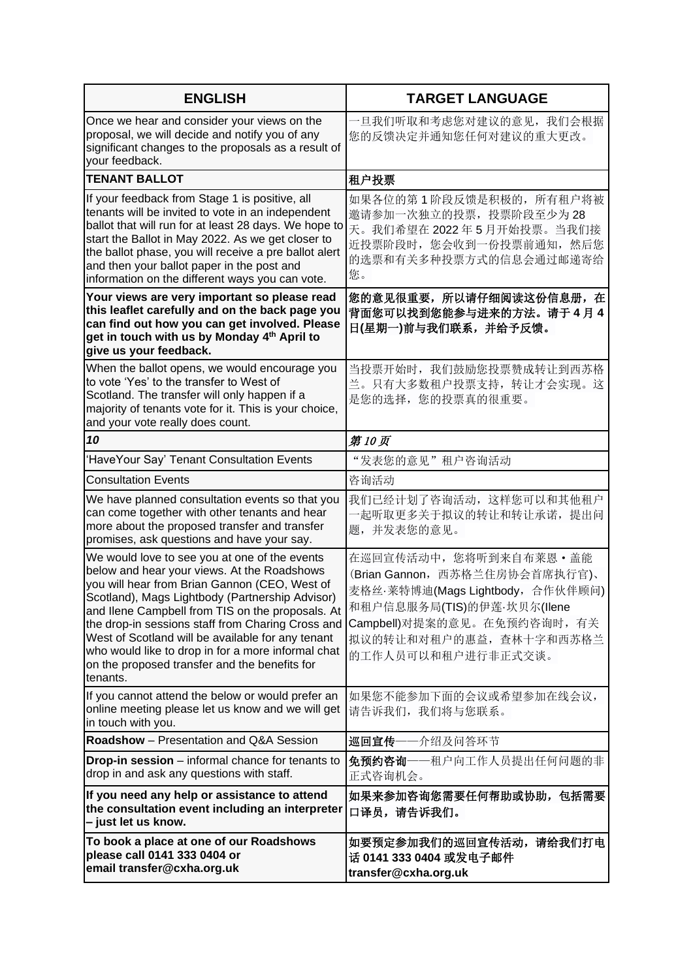| <b>ENGLISH</b>                                                                                                                                                                                                                                                                                                                                                                                                                                                                    | <b>TARGET LANGUAGE</b>                                                                                                                                                                                       |
|-----------------------------------------------------------------------------------------------------------------------------------------------------------------------------------------------------------------------------------------------------------------------------------------------------------------------------------------------------------------------------------------------------------------------------------------------------------------------------------|--------------------------------------------------------------------------------------------------------------------------------------------------------------------------------------------------------------|
| Once we hear and consider your views on the<br>proposal, we will decide and notify you of any<br>significant changes to the proposals as a result of<br>your feedback.                                                                                                                                                                                                                                                                                                            | 一旦我们听取和考虑您对建议的意见,我们会根据<br>您的反馈决定并通知您任何对建议的重大更改。                                                                                                                                                              |
| <b>TENANT BALLOT</b>                                                                                                                                                                                                                                                                                                                                                                                                                                                              | 租户投票                                                                                                                                                                                                         |
| If your feedback from Stage 1 is positive, all<br>tenants will be invited to vote in an independent<br>ballot that will run for at least 28 days. We hope to<br>start the Ballot in May 2022. As we get closer to<br>the ballot phase, you will receive a pre ballot alert<br>and then your ballot paper in the post and<br>information on the different ways you can vote.                                                                                                       | 如果各位的第1阶段反馈是积极的,所有租户将被<br>邀请参加一次独立的投票, 投票阶段至少为28<br>天。我们希望在2022年5月开始投票。当我们接<br>近投票阶段时, 您会收到一份投票前通知, 然后您<br>的选票和有关多种投票方式的信息会通过邮递寄给<br>您。                                                                      |
| Your views are very important so please read<br>this leaflet carefully and on the back page you<br>can find out how you can get involved. Please<br>get in touch with us by Monday 4th April to<br>give us your feedback.                                                                                                                                                                                                                                                         | 您的意见很重要,所以请仔细阅读这份信息册,在<br>背面您可以找到您能参与进来的方法。请于4月4<br>日(星期一)前与我们联系,并给予反馈。                                                                                                                                      |
| When the ballot opens, we would encourage you<br>to vote 'Yes' to the transfer to West of<br>Scotland. The transfer will only happen if a<br>majority of tenants vote for it. This is your choice,<br>and your vote really does count.                                                                                                                                                                                                                                            | 当投票开始时, 我们鼓励您投票赞成转让到西苏格<br>兰。只有大多数租户投票支持, 转让才会实现。这<br>是您的选择,您的投票真的很重要。                                                                                                                                       |
| 10                                                                                                                                                                                                                                                                                                                                                                                                                                                                                | 第10页                                                                                                                                                                                                         |
| 'HaveYour Say' Tenant Consultation Events                                                                                                                                                                                                                                                                                                                                                                                                                                         | "发表您的意见"租户咨询活动                                                                                                                                                                                               |
| <b>Consultation Events</b>                                                                                                                                                                                                                                                                                                                                                                                                                                                        | 咨询活动                                                                                                                                                                                                         |
| We have planned consultation events so that you<br>can come together with other tenants and hear<br>more about the proposed transfer and transfer<br>promises, ask questions and have your say.                                                                                                                                                                                                                                                                                   | 我们已经计划了咨询活动, 这样您可以和其他租户<br>一起听取更多关于拟议的转让和转让承诺, 提出问<br>题,并发表您的意见。                                                                                                                                             |
| We would love to see you at one of the events<br>below and hear your views. At the Roadshows<br>you will hear from Brian Gannon (CEO, West of<br>Scotland), Mags Lightbody (Partnership Advisor)<br>and Ilene Campbell from TIS on the proposals. At<br>the drop-in sessions staff from Charing Cross and<br>West of Scotland will be available for any tenant<br>who would like to drop in for a more informal chat<br>on the proposed transfer and the benefits for<br>tenants. | 在巡回宣传活动中, 您将听到来自布莱恩 · 盖能<br>(Brian Gannon, 西苏格兰住房协会首席执行官)、<br>麦格丝·莱特博迪(Mags Lightbody, 合作伙伴顾问)<br>和租户信息服务局(TIS)的伊莲·坎贝尔(llene<br>Campbell)对提案的意见。在免预约咨询时, 有关<br>拟议的转让和对租户的惠益, 查林十字和西苏格兰<br>的工作人员可以和租户进行非正式交谈。 |
| If you cannot attend the below or would prefer an<br>online meeting please let us know and we will get<br>in touch with you.                                                                                                                                                                                                                                                                                                                                                      | 如果您不能参加下面的会议或希望参加在线会议,<br>请告诉我们,我们将与您联系。                                                                                                                                                                     |
| <b>Roadshow</b> – Presentation and Q&A Session                                                                                                                                                                                                                                                                                                                                                                                                                                    | 巡回宣传——介绍及问答环节                                                                                                                                                                                                |
| <b>Drop-in session</b> – informal chance for tenants to<br>drop in and ask any questions with staff.                                                                                                                                                                                                                                                                                                                                                                              | 免预约咨询——租户向工作人员提出任何问题的非<br>正式咨询机会。                                                                                                                                                                            |
| If you need any help or assistance to attend<br>the consultation event including an interpreter<br>- just let us know.                                                                                                                                                                                                                                                                                                                                                            | 如果来参加咨询您需要任何帮助或协助,包括需要<br>口译员,请告诉我们。                                                                                                                                                                         |
| To book a place at one of our Roadshows<br>please call 0141 333 0404 or<br>email transfer@cxha.org.uk                                                                                                                                                                                                                                                                                                                                                                             | 如要预定参加我们的巡回宣传活动,请给我们打电<br>话 0141 333 0404 或发电子邮件<br>transfer@cxha.org.uk                                                                                                                                     |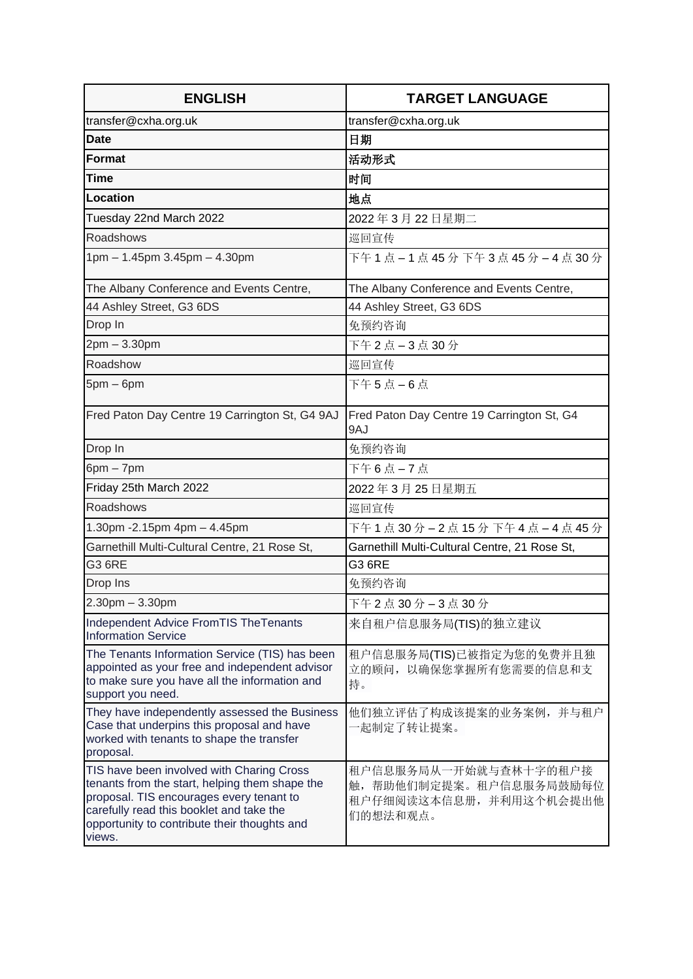| <b>ENGLISH</b>                                                                                                                                                                                                                                | <b>TARGET LANGUAGE</b>                                                                 |
|-----------------------------------------------------------------------------------------------------------------------------------------------------------------------------------------------------------------------------------------------|----------------------------------------------------------------------------------------|
| transfer@cxha.org.uk                                                                                                                                                                                                                          | transfer@cxha.org.uk                                                                   |
| <b>Date</b>                                                                                                                                                                                                                                   | 日期                                                                                     |
| <b>Format</b>                                                                                                                                                                                                                                 | 活动形式                                                                                   |
| <b>Time</b>                                                                                                                                                                                                                                   | 时间                                                                                     |
| Location                                                                                                                                                                                                                                      | 地点                                                                                     |
| Tuesday 22nd March 2022                                                                                                                                                                                                                       | 2022年3月22日星期二                                                                          |
| Roadshows                                                                                                                                                                                                                                     | 巡回宣传                                                                                   |
| 1pm - 1.45pm 3.45pm - 4.30pm                                                                                                                                                                                                                  | 下午 1 点 - 1 点 45 分 下午 3 点 45 分 - 4 点 30 分                                               |
| The Albany Conference and Events Centre,                                                                                                                                                                                                      | The Albany Conference and Events Centre,                                               |
| 44 Ashley Street, G3 6DS                                                                                                                                                                                                                      | 44 Ashley Street, G3 6DS                                                               |
| Drop In                                                                                                                                                                                                                                       | 免预约咨询                                                                                  |
| 2pm - 3.30pm                                                                                                                                                                                                                                  | 下午 2 点 - 3 点 30 分                                                                      |
| Roadshow                                                                                                                                                                                                                                      | 巡回宣传                                                                                   |
| $5pm-6pm$                                                                                                                                                                                                                                     | 下午5点-6点                                                                                |
| Fred Paton Day Centre 19 Carrington St, G4 9AJ                                                                                                                                                                                                | Fred Paton Day Centre 19 Carrington St, G4<br>9AJ                                      |
| Drop In                                                                                                                                                                                                                                       | 免预约咨询                                                                                  |
| $6pm - 7pm$                                                                                                                                                                                                                                   | 下午6点-7点                                                                                |
| Friday 25th March 2022                                                                                                                                                                                                                        | 2022年3月25日星期五                                                                          |
| Roadshows                                                                                                                                                                                                                                     | 巡回宣传                                                                                   |
| 1.30pm - 2.15pm 4pm - 4.45pm                                                                                                                                                                                                                  | 下午 1 点 30 分 - 2 点 15 分 下午 4 点 - 4 点 45 分                                               |
| Garnethill Multi-Cultural Centre, 21 Rose St,                                                                                                                                                                                                 | Garnethill Multi-Cultural Centre, 21 Rose St,                                          |
| <b>G3 6RE</b>                                                                                                                                                                                                                                 | G3 6RE                                                                                 |
| Drop Ins                                                                                                                                                                                                                                      | 免预约咨询                                                                                  |
| $2.30$ pm $- 3.30$ pm                                                                                                                                                                                                                         | 下午 2 点 30 分 - 3 点 30 分                                                                 |
| Independent Advice From TIS The Tenants<br><b>Information Service</b>                                                                                                                                                                         | 来自租户信息服务局(TIS)的独立建议                                                                    |
| The Tenants Information Service (TIS) has been<br>appointed as your free and independent advisor<br>to make sure you have all the information and<br>support you need.                                                                        | 租户信息服务局(TIS)已被指定为您的免费并且独<br>立的顾问, 以确保您掌握所有您需要的信息和支<br>持。                               |
| They have independently assessed the Business<br>Case that underpins this proposal and have<br>worked with tenants to shape the transfer<br>proposal.                                                                                         | 他们独立评估了构成该提案的业务案例,并与租户<br>·起制定了转让提案。                                                   |
| TIS have been involved with Charing Cross<br>tenants from the start, helping them shape the<br>proposal. TIS encourages every tenant to<br>carefully read this booklet and take the<br>opportunity to contribute their thoughts and<br>views. | 租户信息服务局从一开始就与查林十字的租户接<br>触,帮助他们制定提案。租户信息服务局鼓励每位<br>租户仔细阅读这本信息册, 并利用这个机会提出他<br>们的想法和观点。 |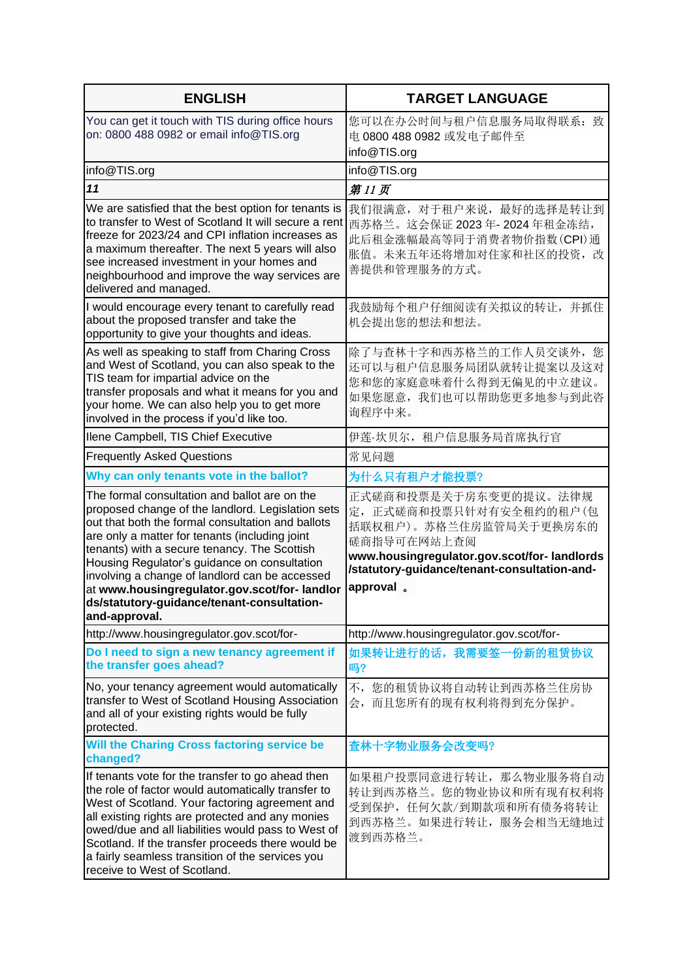| <b>ENGLISH</b>                                                                                                                                                                                                                                                                                                                                                                                                                                                             | <b>TARGET LANGUAGE</b>                                                                                                                                                                                |
|----------------------------------------------------------------------------------------------------------------------------------------------------------------------------------------------------------------------------------------------------------------------------------------------------------------------------------------------------------------------------------------------------------------------------------------------------------------------------|-------------------------------------------------------------------------------------------------------------------------------------------------------------------------------------------------------|
| You can get it touch with TIS during office hours<br>on: 0800 488 0982 or email info@TIS.org                                                                                                                                                                                                                                                                                                                                                                               | 您可以在办公时间与租户信息服务局取得联系: 致<br>电 0800 488 0982 或发电子邮件至<br>info@TIS.org                                                                                                                                    |
| info@TIS.org                                                                                                                                                                                                                                                                                                                                                                                                                                                               | info@TIS.org                                                                                                                                                                                          |
| 11                                                                                                                                                                                                                                                                                                                                                                                                                                                                         | 第11页                                                                                                                                                                                                  |
| We are satisfied that the best option for tenants is<br>to transfer to West of Scotland It will secure a rent<br>freeze for 2023/24 and CPI inflation increases as<br>a maximum thereafter. The next 5 years will also<br>see increased investment in your homes and<br>neighbourhood and improve the way services are<br>delivered and managed.                                                                                                                           | 我们很满意, 对于租户来说, 最好的选择是转让到<br>西苏格兰。这会保证 2023年-2024年租金冻结,<br>此后租金涨幅最高等同于消费者物价指数(CPI)通<br>胀值。未来五年还将增加对住家和社区的投资,改<br>善提供和管理服务的方式。                                                                          |
| I would encourage every tenant to carefully read<br>about the proposed transfer and take the<br>opportunity to give your thoughts and ideas.                                                                                                                                                                                                                                                                                                                               | 我鼓励每个租户仔细阅读有关拟议的转让, 并抓住<br>机会提出您的想法和想法。                                                                                                                                                               |
| As well as speaking to staff from Charing Cross<br>and West of Scotland, you can also speak to the<br>TIS team for impartial advice on the<br>transfer proposals and what it means for you and<br>your home. We can also help you to get more<br>involved in the process if you'd like too.                                                                                                                                                                                | 除了与查林十字和西苏格兰的工作人员交谈外, 您<br>还可以与租户信息服务局团队就转让提案以及这对<br>您和您的家庭意味着什么得到无偏见的中立建议。<br>如果您愿意, 我们也可以帮助您更多地参与到此咨<br>询程序中来。                                                                                      |
| Ilene Campbell, TIS Chief Executive                                                                                                                                                                                                                                                                                                                                                                                                                                        | 伊莲·坎贝尔, 租户信息服务局首席执行官                                                                                                                                                                                  |
| <b>Frequently Asked Questions</b>                                                                                                                                                                                                                                                                                                                                                                                                                                          | 常见问题                                                                                                                                                                                                  |
| Why can only tenants vote in the ballot?                                                                                                                                                                                                                                                                                                                                                                                                                                   | 为什么只有租户才能投票?                                                                                                                                                                                          |
| The formal consultation and ballot are on the<br>proposed change of the landlord. Legislation sets<br>out that both the formal consultation and ballots<br>are only a matter for tenants (including joint<br>tenants) with a secure tenancy. The Scottish<br>Housing Regulator's guidance on consultation<br>involving a change of landlord can be accessed<br>at www.housingregulator.gov.scot/for-landlor<br>ds/statutory-guidance/tenant-consultation-<br>and-approval. | 正式磋商和投票是关于房东变更的提议。法律规<br>定, 正式磋商和投票只针对有安全租约的租户(包<br>括联权租户)。苏格兰住房监管局关于更换房东的<br>磋商指导可在网站上查阅<br>www.housingregulator.gov.scot/for-landlords<br>/statutory-guidance/tenant-consultation-and-<br>approval. |
| http://www.housingregulator.gov.scot/for-                                                                                                                                                                                                                                                                                                                                                                                                                                  | http://www.housingregulator.gov.scot/for-                                                                                                                                                             |
| Do I need to sign a new tenancy agreement if<br>the transfer goes ahead?                                                                                                                                                                                                                                                                                                                                                                                                   | 如果转让进行的话,我需要签一份新的租赁协议<br>吗?                                                                                                                                                                           |
| No, your tenancy agreement would automatically<br>transfer to West of Scotland Housing Association<br>and all of your existing rights would be fully<br>protected.                                                                                                                                                                                                                                                                                                         | 不,您的租赁协议将自动转让到西苏格兰住房协<br>会,而且您所有的现有权利将得到充分保护。                                                                                                                                                         |
| Will the Charing Cross factoring service be<br>changed?                                                                                                                                                                                                                                                                                                                                                                                                                    | 查林十字物业服务会改变吗?                                                                                                                                                                                         |
| If tenants vote for the transfer to go ahead then<br>the role of factor would automatically transfer to<br>West of Scotland. Your factoring agreement and<br>all existing rights are protected and any monies<br>owed/due and all liabilities would pass to West of<br>Scotland. If the transfer proceeds there would be<br>a fairly seamless transition of the services you<br>receive to West of Scotland.                                                               | 如果租户投票同意进行转让, 那么物业服务将自动<br>转让到西苏格兰。您的物业协议和所有现有权利将<br>受到保护, 任何欠款/到期款项和所有债务将转让<br>到西苏格兰。如果进行转让, 服务会相当无缝地过<br>渡到西苏格兰。                                                                                    |